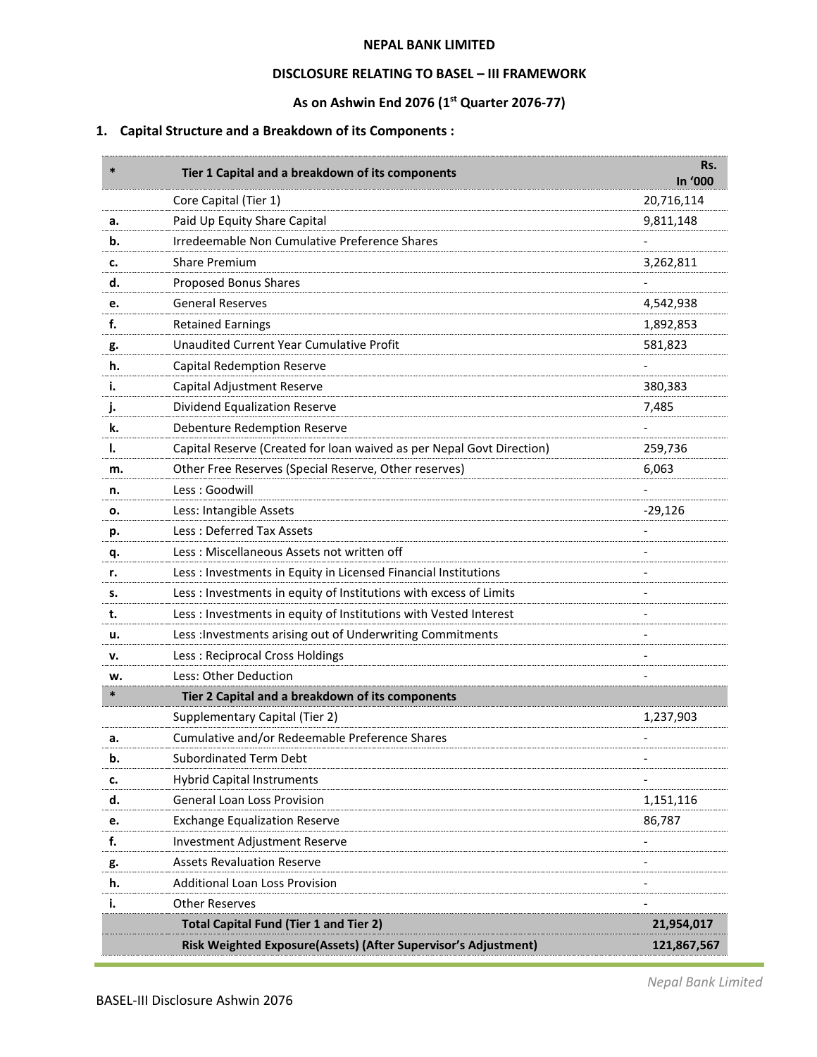#### **NEPAL BANK LIMITED**

### **DISCLOSURE RELATING TO BASEL – III FRAMEWORK**

# **As on Ashwin End 2076 (1 st Quarter 2076-77)**

# **1. Capital Structure and a Breakdown of its Components :**

| $\ast$ | Tier 1 Capital and a breakdown of its components                      | Rs.<br>In '000 |
|--------|-----------------------------------------------------------------------|----------------|
|        | Core Capital (Tier 1)                                                 | 20,716,114     |
| а.     | Paid Up Equity Share Capital                                          | 9,811,148      |
| b.     | Irredeemable Non Cumulative Preference Shares                         |                |
| c.     | <b>Share Premium</b>                                                  | 3,262,811      |
| d.     | Proposed Bonus Shares                                                 |                |
| e.     | <b>General Reserves</b>                                               | 4,542,938      |
| f.     | <b>Retained Earnings</b>                                              | 1,892,853      |
| g.     | Unaudited Current Year Cumulative Profit                              | 581,823        |
| h.     | <b>Capital Redemption Reserve</b>                                     |                |
| ۱.     | Capital Adjustment Reserve                                            | 380,383        |
| j.     | Dividend Equalization Reserve                                         | 7,485          |
| k.     | Debenture Redemption Reserve                                          |                |
| ı.     | Capital Reserve (Created for loan waived as per Nepal Govt Direction) | 259,736        |
| m.     | Other Free Reserves (Special Reserve, Other reserves)                 | 6,063          |
| n.     | Less: Goodwill                                                        |                |
| ο.     | Less: Intangible Assets                                               | $-29,126$      |
| р.     | Less: Deferred Tax Assets                                             |                |
| q.     | Less: Miscellaneous Assets not written off                            |                |
| r.     | Less : Investments in Equity in Licensed Financial Institutions       |                |
| s.     | Less : Investments in equity of Institutions with excess of Limits    |                |
| t.     | Less : Investments in equity of Institutions with Vested Interest     |                |
| u.     | Less : Investments arising out of Underwriting Commitments            |                |
| v.     | Less: Reciprocal Cross Holdings                                       |                |
| w.     | Less: Other Deduction                                                 |                |
| $\ast$ | Tier 2 Capital and a breakdown of its components                      |                |
|        | Supplementary Capital (Tier 2)                                        | 1,237,903      |
| а.     | Cumulative and/or Redeemable Preference Shares                        |                |
| b.     | <b>Subordinated Term Debt</b>                                         |                |
| c.     | <b>Hybrid Capital Instruments</b>                                     |                |
| d.     | General Loan Loss Provision                                           | 1,151,116      |
| e.     | <b>Exchange Equalization Reserve</b>                                  | 86,787         |
| f.     | Investment Adjustment Reserve                                         |                |
| g.     | <b>Assets Revaluation Reserve</b>                                     |                |
| h.     | <b>Additional Loan Loss Provision</b>                                 |                |
| i.     | <b>Other Reserves</b>                                                 |                |
|        | <b>Total Capital Fund (Tier 1 and Tier 2)</b>                         | 21,954,017     |
|        | Risk Weighted Exposure(Assets) (After Supervisor's Adjustment)        | 121,867,567    |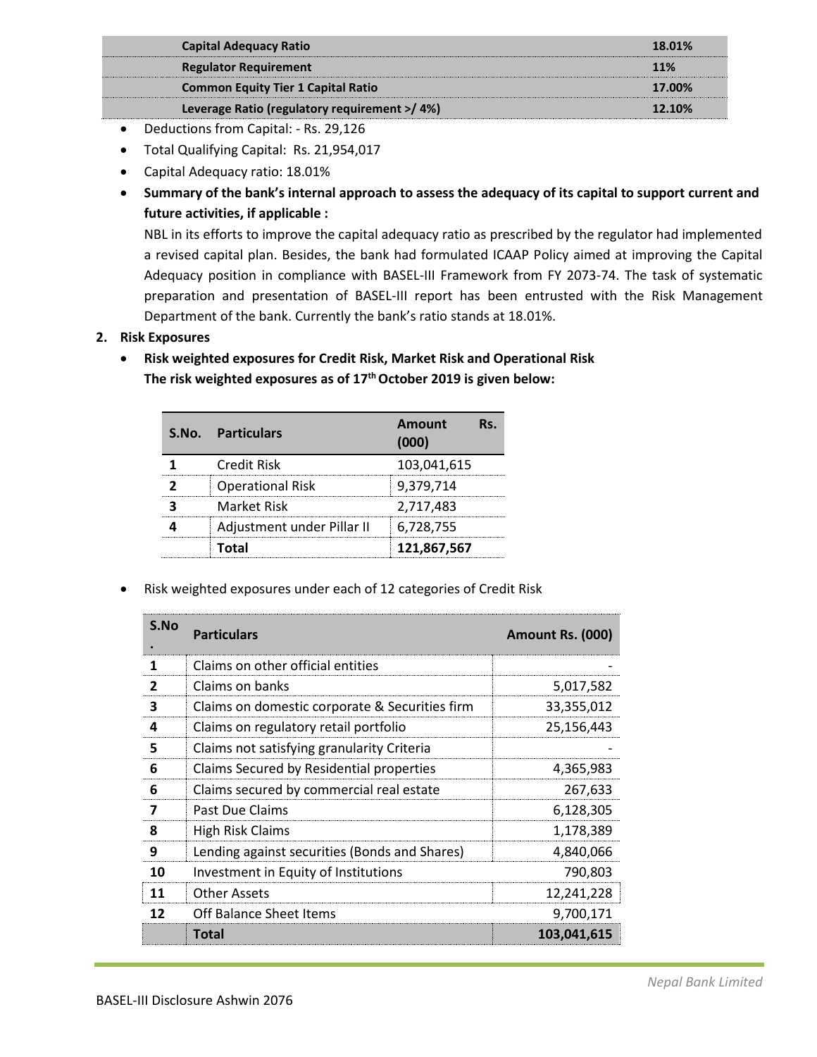| <b>Capital Adequacy Ratio</b>                | 18.01% |
|----------------------------------------------|--------|
| <b>Regulator Requirement</b>                 | 11%    |
| <b>Common Equity Tier 1 Capital Ratio</b>    | 17.00% |
| Leverage Ratio (regulatory requirement >/4%) | 12.10% |

- Deductions from Capital: Rs. 29,126
- Total Qualifying Capital: Rs. 21,954,017
- Capital Adequacy ratio: 18.01%
- **Summary of the bank's internal approach to assess the adequacy of its capital to support current and future activities, if applicable :**

NBL in its efforts to improve the capital adequacy ratio as prescribed by the regulator had implemented a revised capital plan. Besides, the bank had formulated ICAAP Policy aimed at improving the Capital Adequacy position in compliance with BASEL-III Framework from FY 2073-74. The task of systematic preparation and presentation of BASEL-III report has been entrusted with the Risk Management Department of the bank. Currently the bank's ratio stands at 18.01%.

- **2. Risk Exposures**
	- **Risk weighted exposures for Credit Risk, Market Risk and Operational Risk The risk weighted exposures as of 17 thOctober 2019 is given below:**

| S.No. Particulars          | <b>Amount</b><br>(000) |
|----------------------------|------------------------|
| Credit Risk                | 103,041,615            |
| <b>Operational Risk</b>    | 9,379,714              |
| <b>Market Risk</b>         | 2,717,483              |
| Adjustment under Pillar II | 6,728,755              |
| Total                      | 121,867,567            |

• Risk weighted exposures under each of 12 categories of Credit Risk

| S.No | <b>Particulars</b>                             | Amount Rs. (000) |
|------|------------------------------------------------|------------------|
|      | Claims on other official entities              |                  |
| 2    | Claims on banks                                | 5,017,582        |
| 3    | Claims on domestic corporate & Securities firm | 33,355,012       |
| 4    | Claims on regulatory retail portfolio          | 25,156,443       |
| 5    | Claims not satisfying granularity Criteria     |                  |
| 6    | Claims Secured by Residential properties       | 4,365,983        |
| 6    | Claims secured by commercial real estate       | 267,633          |
| 7    | Past Due Claims                                | 6,128,305        |
| 8    | <b>High Risk Claims</b>                        | 1,178,389        |
| 9    | Lending against securities (Bonds and Shares)  | 4,840,066        |
| 10   | Investment in Equity of Institutions           | 790,803          |
| 11   | <b>Other Assets</b>                            | 12,241,228       |
| 12   | <b>Off Balance Sheet Items</b>                 | 9,700,171        |
|      | <b>Total</b>                                   | 103,041,615      |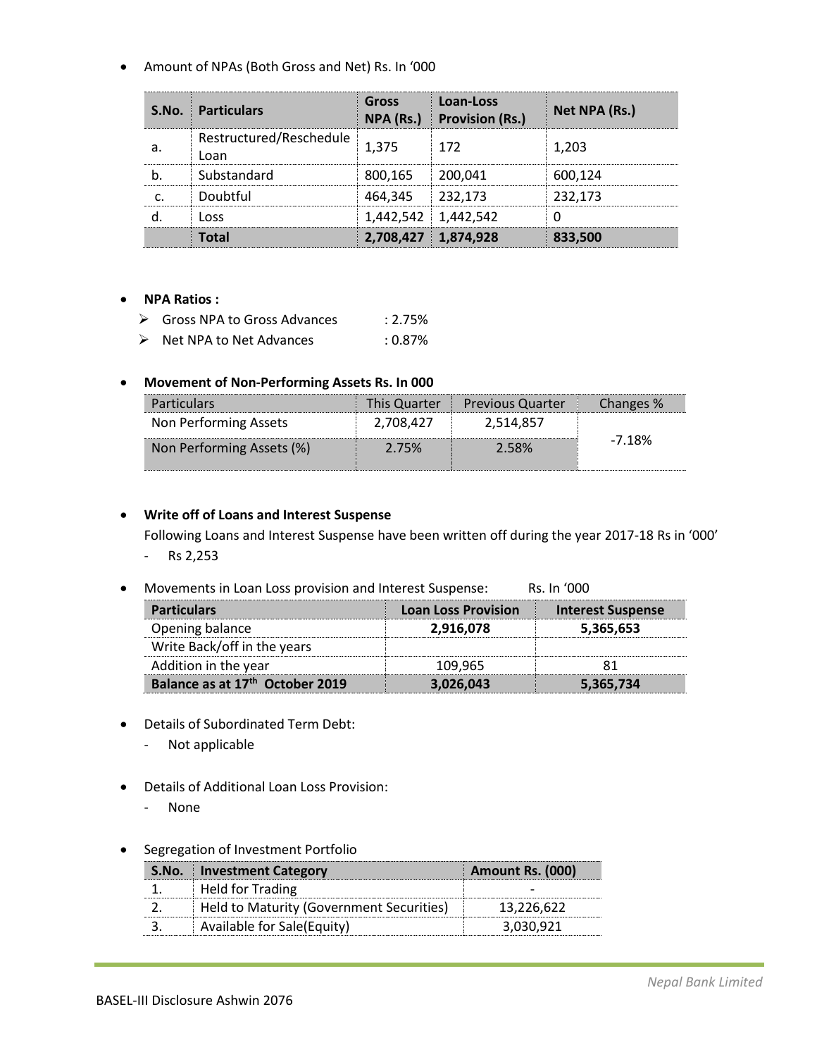• Amount of NPAs (Both Gross and Net) Rs. In '000

| <b>S.No. Particulars</b>        | Gross<br>NPA (Rs.)  | Loan-Loss<br><b>Provision (Rs.)</b> | Net NPA (Rs.) |
|---------------------------------|---------------------|-------------------------------------|---------------|
| Restructured/Reschedule<br>Loan | 1.375               | 172                                 | 1.203         |
| Substandard                     | 800.165             | 200.041                             | 600.124       |
| Doubtful                        | 464,345             | 232,173                             | 232.173       |
| l nss                           |                     | $1,442,542$   1,442,542             |               |
|                                 | 2,708,427 1,874,928 |                                     | 833,500       |

# • **NPA Ratios :**

| $\triangleright$ | Gross NPA to Gross Advances | $: 2.75\%$ |
|------------------|-----------------------------|------------|
| $\triangleright$ | Net NPA to Net Advances     | : 0.87%    |

# • **Movement of Non-Performing Assets Rs. In 000**

| <b>Particulars</b>        | This Quarter | <b>Previous Quarter</b> | Changes % |
|---------------------------|--------------|-------------------------|-----------|
| Non Performing Assets     | 2,708,427    | 2,514,857               |           |
| Non Performing Assets (%) | 2.75%        | 2.58%                   | $-7.18%$  |

# • **Write off of Loans and Interest Suspense**

Following Loans and Interest Suspense have been written off during the year 2017-18 Rs in '000'

- Rs 2,253
- Movements in Loan Loss provision and Interest Suspense: Rs. In '000

| <b>Particulars</b>                          | <b>Loan Loss Provision</b> | <b>Interest Suspense</b> |
|---------------------------------------------|----------------------------|--------------------------|
| Opening balance                             | 2,916,078                  | 5,365,653                |
| Write Back/off in the years                 |                            |                          |
| Addition in the year                        | 109,965                    |                          |
| Balance as at 17 <sup>th</sup> October 2019 | 3,026,043                  | 5,365,734                |

- Details of Subordinated Term Debt:
	- Not applicable
- Details of Additional Loan Loss Provision:
	- None
- Segregation of Investment Portfolio

| <b>S.No.</b> Investment Category         | Amount Rs. (000) |
|------------------------------------------|------------------|
| <b>Held for Trading</b>                  |                  |
| Held to Maturity (Government Securities) | 13,226.622       |
| Available for Sale(Equity)               | . 030.921        |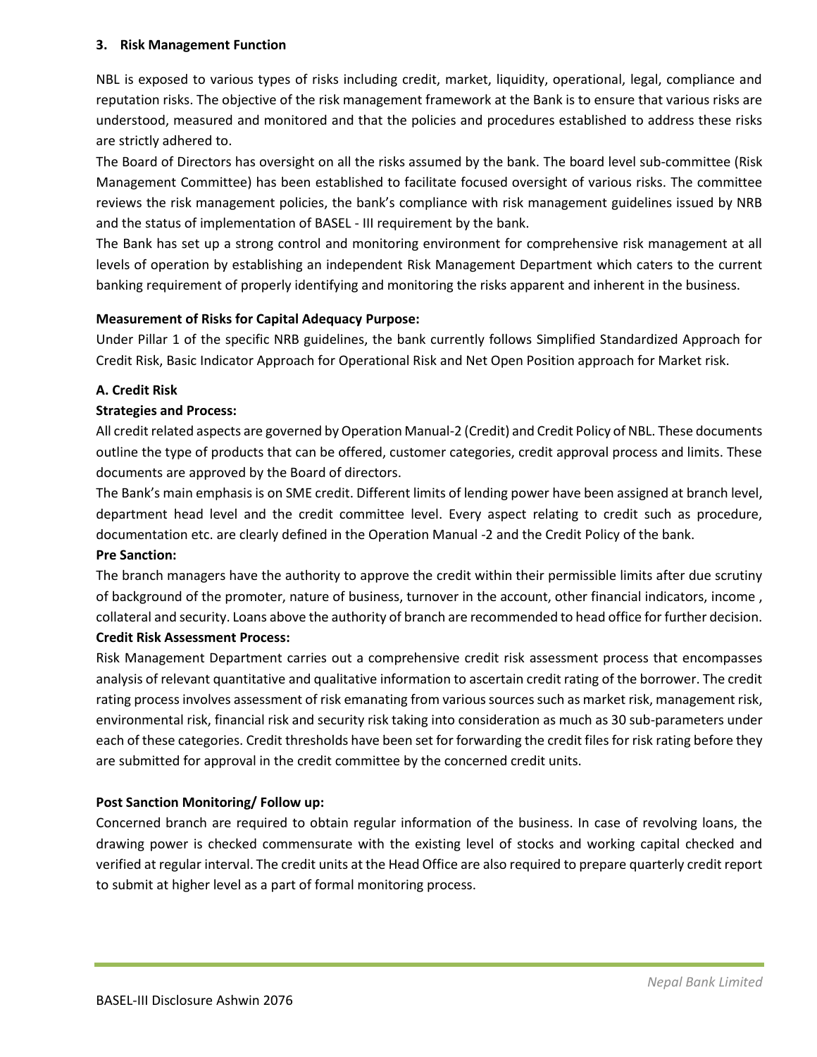## **3. Risk Management Function**

NBL is exposed to various types of risks including credit, market, liquidity, operational, legal, compliance and reputation risks. The objective of the risk management framework at the Bank is to ensure that various risks are understood, measured and monitored and that the policies and procedures established to address these risks are strictly adhered to.

The Board of Directors has oversight on all the risks assumed by the bank. The board level sub-committee (Risk Management Committee) has been established to facilitate focused oversight of various risks. The committee reviews the risk management policies, the bank's compliance with risk management guidelines issued by NRB and the status of implementation of BASEL - III requirement by the bank.

The Bank has set up a strong control and monitoring environment for comprehensive risk management at all levels of operation by establishing an independent Risk Management Department which caters to the current banking requirement of properly identifying and monitoring the risks apparent and inherent in the business.

### **Measurement of Risks for Capital Adequacy Purpose:**

Under Pillar 1 of the specific NRB guidelines, the bank currently follows Simplified Standardized Approach for Credit Risk, Basic Indicator Approach for Operational Risk and Net Open Position approach for Market risk.

### **A. Credit Risk**

### **Strategies and Process:**

All credit related aspects are governed by Operation Manual-2 (Credit) and Credit Policy of NBL. These documents outline the type of products that can be offered, customer categories, credit approval process and limits. These documents are approved by the Board of directors.

The Bank's main emphasis is on SME credit. Different limits of lending power have been assigned at branch level, department head level and the credit committee level. Every aspect relating to credit such as procedure, documentation etc. are clearly defined in the Operation Manual -2 and the Credit Policy of the bank. **Pre Sanction:** 

The branch managers have the authority to approve the credit within their permissible limits after due scrutiny of background of the promoter, nature of business, turnover in the account, other financial indicators, income , collateral and security. Loans above the authority of branch are recommended to head office for further decision.

### **Credit Risk Assessment Process:**

Risk Management Department carries out a comprehensive credit risk assessment process that encompasses analysis of relevant quantitative and qualitative information to ascertain credit rating of the borrower. The credit rating process involves assessment of risk emanating from various sources such as market risk, management risk, environmental risk, financial risk and security risk taking into consideration as much as 30 sub-parameters under each of these categories. Credit thresholds have been set for forwarding the credit files for risk rating before they are submitted for approval in the credit committee by the concerned credit units.

## **Post Sanction Monitoring/ Follow up:**

Concerned branch are required to obtain regular information of the business. In case of revolving loans, the drawing power is checked commensurate with the existing level of stocks and working capital checked and verified at regular interval. The credit units at the Head Office are also required to prepare quarterly credit report to submit at higher level as a part of formal monitoring process.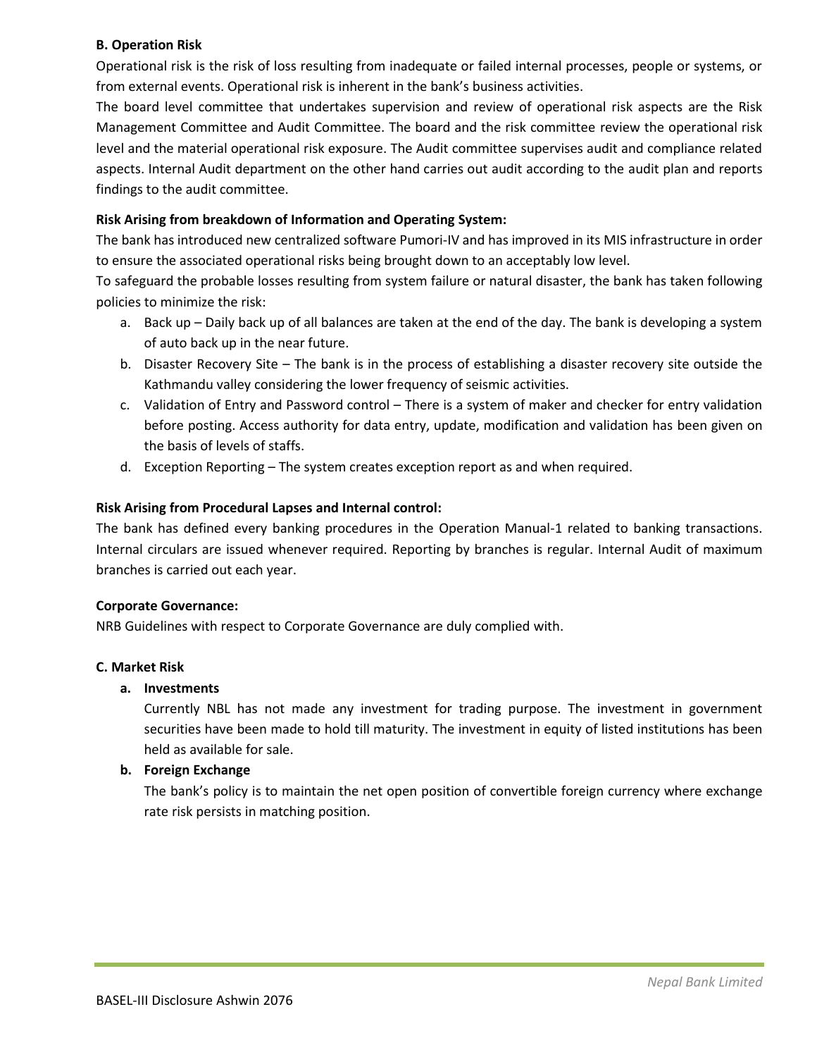## **B. Operation Risk**

Operational risk is the risk of loss resulting from inadequate or failed internal processes, people or systems, or from external events. Operational risk is inherent in the bank's business activities.

The board level committee that undertakes supervision and review of operational risk aspects are the Risk Management Committee and Audit Committee. The board and the risk committee review the operational risk level and the material operational risk exposure. The Audit committee supervises audit and compliance related aspects. Internal Audit department on the other hand carries out audit according to the audit plan and reports findings to the audit committee.

## **Risk Arising from breakdown of Information and Operating System:**

The bank has introduced new centralized software Pumori-IV and has improved in its MIS infrastructure in order to ensure the associated operational risks being brought down to an acceptably low level.

To safeguard the probable losses resulting from system failure or natural disaster, the bank has taken following policies to minimize the risk:

- a. Back up Daily back up of all balances are taken at the end of the day. The bank is developing a system of auto back up in the near future.
- b. Disaster Recovery Site The bank is in the process of establishing a disaster recovery site outside the Kathmandu valley considering the lower frequency of seismic activities.
- c. Validation of Entry and Password control There is a system of maker and checker for entry validation before posting. Access authority for data entry, update, modification and validation has been given on the basis of levels of staffs.
- d. Exception Reporting The system creates exception report as and when required.

## **Risk Arising from Procedural Lapses and Internal control:**

The bank has defined every banking procedures in the Operation Manual-1 related to banking transactions. Internal circulars are issued whenever required. Reporting by branches is regular. Internal Audit of maximum branches is carried out each year.

#### **Corporate Governance:**

NRB Guidelines with respect to Corporate Governance are duly complied with.

#### **C. Market Risk**

## **a. Investments**

Currently NBL has not made any investment for trading purpose. The investment in government securities have been made to hold till maturity. The investment in equity of listed institutions has been held as available for sale.

## **b. Foreign Exchange**

The bank's policy is to maintain the net open position of convertible foreign currency where exchange rate risk persists in matching position.